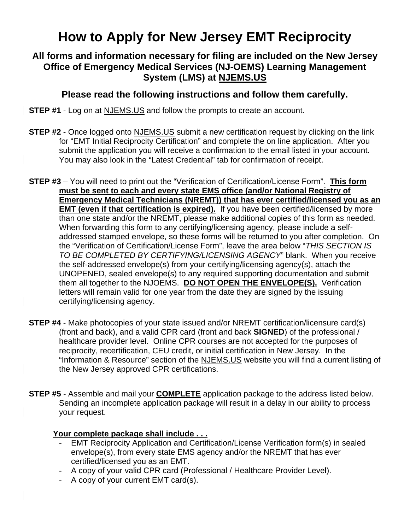# **How to Apply for New Jersey EMT Reciprocity**

## **All forms and information necessary for filing are included on the New Jersey Office of Emergency Medical Services (NJ-OEMS) Learning Management System (LMS) at NJEMS.US**

## **Please read the following instructions and follow them carefully.**

**STEP #1** - Log on at NJEMS.US and follow the prompts to create an account.

- **STEP #2** Once logged onto NJEMS.US submit a new certification request by clicking on the link for "EMT Initial Reciprocity Certification" and complete the on line application. After you submit the application you will receive a confirmation to the email listed in your account. You may also look in the "Latest Credential" tab for confirmation of receipt.
- **STEP #3** You will need to print out the "Verification of Certification/License Form". **This form must be sent to each and every state EMS office (and/or National Registry of Emergency Medical Technicians (NREMT)) that has ever certified/licensed you as an EMT (even if that certification is expired).** If you have been certified/licensed by more than one state and/or the NREMT, please make additional copies of this form as needed. When forwarding this form to any certifying/licensing agency, please include a selfaddressed stamped envelope, so these forms will be returned to you after completion. On the "Verification of Certification/License Form", leave the area below "*THIS SECTION IS TO BE COMPLETED BY CERTIFYING/LICENSING AGENCY*" blank. When you receive the self-addressed envelope(s) from your certifying/licensing agency(s), attach the UNOPENED, sealed envelope(s) to any required supporting documentation and submit them all together to the NJOEMS. **DO NOT OPEN THE ENVELOPE(S).** Verification letters will remain valid for one year from the date they are signed by the issuing certifying/licensing agency.
- **STEP #4** Make photocopies of your state issued and/or NREMT certification/licensure card(s) (front and back), and a valid CPR card (front and back **SIGNED**) of the professional / healthcare provider level. Online CPR courses are not accepted for the purposes of reciprocity, recertification, CEU credit, or initial certification in New Jersey. In the "Information & Resource" section of the NJEMS.US website you will find a current listing of the New Jersey approved CPR certifications.
- **STEP #5** Assemble and mail your **COMPLETE** application package to the address listed below. Sending an incomplete application package will result in a delay in our ability to process your request.

#### **Your complete package shall include . . .**

- EMT Reciprocity Application and Certification/License Verification form(s) in sealed envelope(s), from every state EMS agency and/or the NREMT that has ever certified/licensed you as an EMT.
- A copy of your valid CPR card (Professional / Healthcare Provider Level).
- A copy of your current EMT card(s).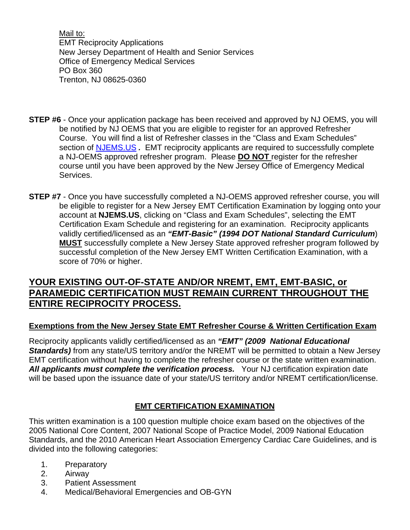Mail to: EMT Reciprocity Applications New Jersey Department of Health and Senior Services Office of Emergency Medical Services PO Box 360 Trenton, NJ 08625-0360

- **STEP #6** Once your application package has been received and approved by NJ OEMS, you will be notified by NJ OEMS that you are eligible to register for an approved Refresher Course. You will find a list of Refresher classes in the "Class and Exam Schedules" section of NJEMS.US *.* EMT reciprocity applicants are required to successfully complete a NJ-OEMS approved refresher program. Please **DO NOT** register for the refresher course until you have been approved by the New Jersey Office of Emergency Medical Services.
- **STEP #7** Once you have successfully completed a NJ-OEMS approved refresher course, you will be eligible to register for a New Jersey EMT Certification Examination by logging onto your account at **NJEMS.US**, clicking on "Class and Exam Schedules", selecting the EMT Certification Exam Schedule and registering for an examination. Reciprocity applicants validly certified/licensed as an *"EMT-Basic" (1994 DOT National Standard Curriculum*) **MUST** successfully complete a New Jersey State approved refresher program followed by successful completion of the New Jersey EMT Written Certification Examination, with a score of 70% or higher.

## **YOUR EXISTING OUT-OF-STATE AND/OR NREMT, EMT, EMT-BASIC, or PARAMEDIC CERTIFICATION MUST REMAIN CURRENT THROUGHOUT THE ENTIRE RECIPROCITY PROCESS.**

## **Exemptions from the New Jersey State EMT Refresher Course & Written Certification Exam**

Reciprocity applicants validly certified/licensed as an *"EMT" (2009 National Educational Standards)* from any state/US territory and/or the NREMT will be permitted to obtain a New Jersey EMT certification without having to complete the refresher course or the state written examination. All applicants must complete the verification process. Your NJ certification expiration date will be based upon the issuance date of your state/US territory and/or NREMT certification/license.

## **EMT CERTIFICATION EXAMINATION**

This written examination is a 100 question multiple choice exam based on the objectives of the 2005 National Core Content, 2007 National Scope of Practice Model, 2009 National Education Standards, and the 2010 American Heart Association Emergency Cardiac Care Guidelines, and is divided into the following categories:

- 1. Preparatory
- 2. Airway
- 3. Patient Assessment
- 4. Medical/Behavioral Emergencies and OB-GYN